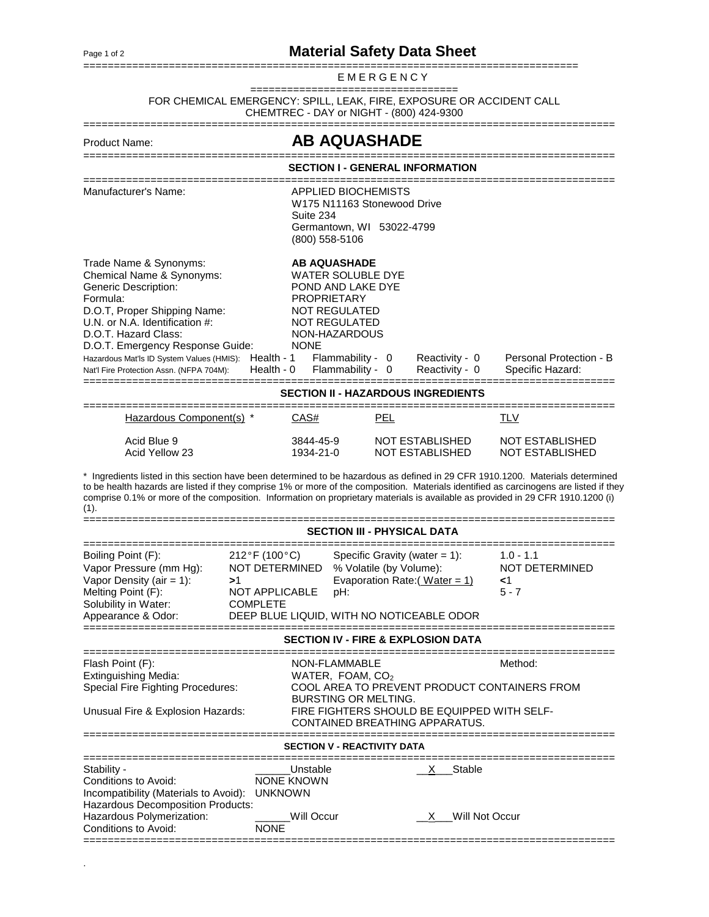## Page 1 of 2<br>**Material Safety Data Sheet**

| Product Name: | <b>AB AQUASHADE</b>                                                                                              |
|---------------|------------------------------------------------------------------------------------------------------------------|
|               | FOR CHEMICAL EMERGENCY: SPILL, LEAK, FIRE, EXPOSURE OR ACCIDENT CALL<br>CHEMTREC - DAY or NIGHT - (800) 424-9300 |
|               | <b>FMERGENCY</b>                                                                                                 |

=================================================================================

## **SECTION I - GENERAL INFORMATION**

|                                                     | <b>SECTION I- GENERAL INFORMATION</b>                                                                            |  |
|-----------------------------------------------------|------------------------------------------------------------------------------------------------------------------|--|
| Manufacturer's Name:                                | APPLIED BIOCHEMISTS<br>W175 N11163 Stonewood Drive<br>Suite 234<br>Germantown, WI 53022-4799<br>$(800)$ 558-5106 |  |
| Trade Name & Synonyms:<br>Chemical Name & Synonyms: | <b>AB AQUASHADE</b><br>WATER SOLUBLE DYE                                                                         |  |
| <b>Generic Description:</b>                         | POND AND LAKE DYE                                                                                                |  |
| Formula:                                            | <b>PROPRIFTARY</b>                                                                                               |  |
| D.O.T, Proper Shipping Name:                        | NOT REGULATED                                                                                                    |  |
| U.N. or N.A. Identification #:                      | NOT REGULATED                                                                                                    |  |

| D.O.T. Hazard Class:                                 |            | NON-HAZARDOUS    |                |                         |
|------------------------------------------------------|------------|------------------|----------------|-------------------------|
| D.O.T. Emergency Response Guide:                     |            | <b>NONE</b>      |                |                         |
| Hazardous Mat'ls ID System Values (HMIS): Health - 1 |            | Flammability - 0 | Reactivity - 0 | Personal Protection - B |
| Nat'l Fire Protection Assn. (NFPA 704M):             | Health - 0 | Flammabilitv - 0 | Reactivity - 0 | Specific Hazard:        |
|                                                      |            |                  |                |                         |

## **SECTION II - HAZARDOUS INGREDIENTS**

| Hazardous Component(s) * | CAS#      | <u>PEL</u>      | TLV             |
|--------------------------|-----------|-----------------|-----------------|
| Acid Blue 9              | 3844-45-9 | NOT ESTABLISHED | NOT ESTABLISHED |
| Acid Yellow 23           | 1934-21-0 | NOT ESTABLISHED | NOT ESTABLISHED |

\* Ingredients listed in this section have been determined to be hazardous as defined in 29 CFR 1910.1200. Materials determined to be health hazards are listed if they comprise 1% or more of the composition. Materials identified as carcinogens are listed if they comprise 0.1% or more of the composition. Information on proprietary materials is available as provided in 29 CFR 1910.1200 (i) (1).

|                                                                                                                                               | <b>SECTION III - PHYSICAL DATA</b>                                                |                                                                                                                                                                                                                          |                                                |  |  |  |
|-----------------------------------------------------------------------------------------------------------------------------------------------|-----------------------------------------------------------------------------------|--------------------------------------------------------------------------------------------------------------------------------------------------------------------------------------------------------------------------|------------------------------------------------|--|--|--|
| Boiling Point (F):<br>Vapor Pressure (mm Hg):<br>Vapor Density (air = 1):<br>Melting Point (F):<br>Solubility in Water:<br>Appearance & Odor: | 212°F (100°C)<br>NOT DETERMINED<br>اح<br><b>NOT APPLICABLE</b><br><b>COMPLETE</b> | Specific Gravity (water $= 1$ ):<br>% Volatile (by Volume):<br>Evaporation Rate: $(Water = 1)$<br>pH:<br>DEEP BLUE LIQUID, WITH NO NOTICEABLE ODOR                                                                       | $1.0 - 1.1$<br>NOT DETERMINED<br>1><br>$5 - 7$ |  |  |  |
| <b>SECTION IV - FIRE &amp; EXPLOSION DATA</b>                                                                                                 |                                                                                   |                                                                                                                                                                                                                          |                                                |  |  |  |
| Flash Point (F):<br><b>Extinguishing Media:</b><br>Special Fire Fighting Procedures:<br>Unusual Fire & Explosion Hazards:                     |                                                                                   | NON-FLAMMABLE<br>Method:<br>WATER, FOAM, CO <sub>2</sub><br>COOL AREA TO PREVENT PRODUCT CONTAINERS FROM<br><b>BURSTING OR MELTING.</b><br>FIRE FIGHTERS SHOULD BE EQUIPPED WITH SELF-<br>CONTAINED BREATHING APPARATUS. |                                                |  |  |  |
| <b>SECTION V - REACTIVITY DATA</b>                                                                                                            |                                                                                   |                                                                                                                                                                                                                          |                                                |  |  |  |
| Stability -<br>Conditions to Avoid:<br>Incompatibility (Materials to Avoid):<br><b>Hazardous Decomposition Products:</b>                      | Unstable<br>NONE KNOWN<br>UNKNOWN                                                 |                                                                                                                                                                                                                          | X Stable                                       |  |  |  |
| Hazardous Polymerization:<br>Conditions to Avoid:                                                                                             | Will Occur<br><b>NONE</b>                                                         | X.                                                                                                                                                                                                                       | Will Not Occur                                 |  |  |  |